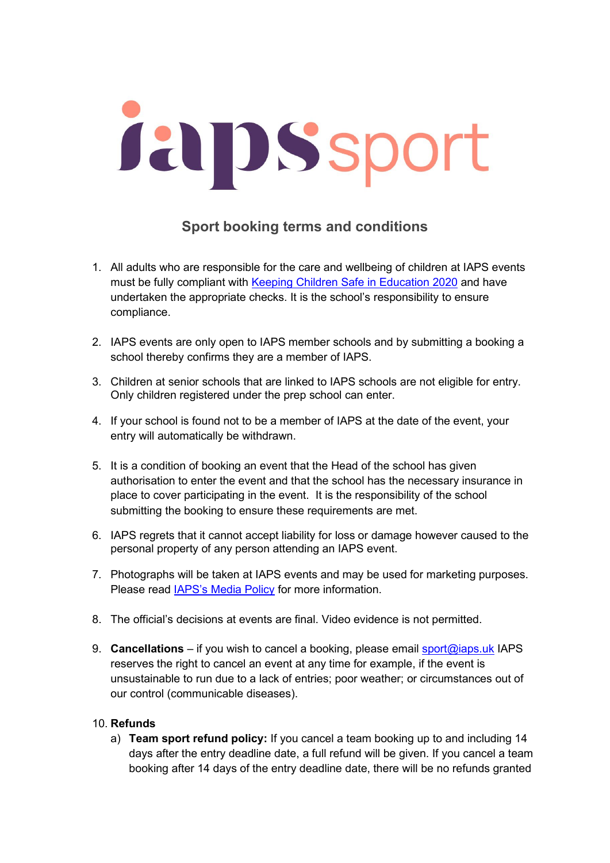## **Jaip Ssport**

## **Sport booking terms and conditions**

- 1. All adults who are responsible for the care and wellbeing of children at IAPS events must be fully compliant with Keeping [Children Safe in Education 2020](https://www.gov.uk/government/publications/keeping-children-safe-in-education--2) and have undertaken the appropriate checks. It is the school's responsibility to ensure compliance.
- 2. IAPS events are only open to IAPS member schools and by submitting a booking a school thereby confirms they are a member of IAPS.
- 3. Children at senior schools that are linked to IAPS schools are not eligible for entry. Only children registered under the prep school can enter.
- 4. If your school is found not to be a member of IAPS at the date of the event, your entry will automatically be withdrawn.
- 5. It is a condition of booking an event that the Head of the school has given authorisation to enter the event and that the school has the necessary insurance in place to cover participating in the event. It is the responsibility of the school submitting the booking to ensure these requirements are met.
- 6. IAPS regrets that it cannot accept liability for loss or damage however caused to the personal property of any person attending an IAPS event.
- 7. Photographs will be taken at IAPS events and may be used for marketing purposes. Please read [IAPS's Media Policy](https://iaps.uk/sport/safeguarding.html) for more information.
- 8. The official's decisions at events are final. Video evidence is not permitted.
- 9. **Cancellations** if you wish to cancel a booking, please email [sport@iaps.uk](mailto:sport@iaps.uk) IAPS reserves the right to cancel an event at any time for example, if the event is unsustainable to run due to a lack of entries; poor weather; or circumstances out of our control (communicable diseases).

## 10. **Refunds**

a) **Team sport refund policy:** If you cancel a team booking up to and including 14 days after the entry deadline date, a full refund will be given. If you cancel a team booking after 14 days of the entry deadline date, there will be no refunds granted